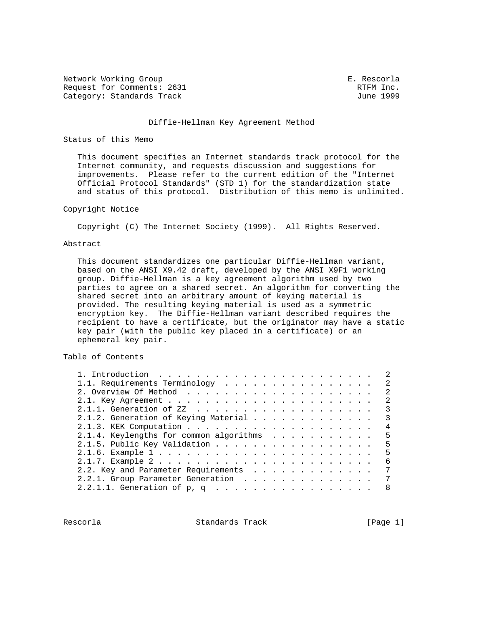Network Working Group **E. Rescorla** Request for Comments: 2631 RTFM Inc. Category: Standards Track June 1999

#### Diffie-Hellman Key Agreement Method

### Status of this Memo

 This document specifies an Internet standards track protocol for the Internet community, and requests discussion and suggestions for improvements. Please refer to the current edition of the "Internet Official Protocol Standards" (STD 1) for the standardization state and status of this protocol. Distribution of this memo is unlimited.

### Copyright Notice

Copyright (C) The Internet Society (1999). All Rights Reserved.

### Abstract

 This document standardizes one particular Diffie-Hellman variant, based on the ANSI X9.42 draft, developed by the ANSI X9F1 working group. Diffie-Hellman is a key agreement algorithm used by two parties to agree on a shared secret. An algorithm for converting the shared secret into an arbitrary amount of keying material is provided. The resulting keying material is used as a symmetric encryption key. The Diffie-Hellman variant described requires the recipient to have a certificate, but the originator may have a static key pair (with the public key placed in a certificate) or an ephemeral key pair.

## Table of Contents

| 1. Introduction $\ldots \ldots \ldots \ldots \ldots \ldots \ldots \ldots$ |   |
|---------------------------------------------------------------------------|---|
| 1.1. Requirements Terminology                                             |   |
|                                                                           | 2 |
|                                                                           | 2 |
|                                                                           |   |
| 2.1.2. Generation of Keying Material                                      | 3 |
|                                                                           | 4 |
| 2.1.4. Keylengths for common algorithms                                   | 5 |
| 2.1.5. Public Key Validation                                              | 5 |
|                                                                           | 5 |
|                                                                           | 6 |
| 2.2. Key and Parameter Requirements                                       | 7 |
| 2.2.1. Group Parameter Generation                                         | 7 |
|                                                                           | 8 |
|                                                                           |   |

Rescorla **Standards Track** [Page 1]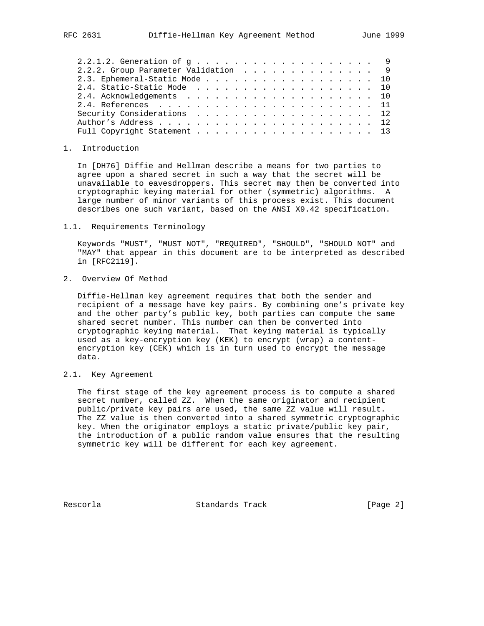| 2.2.1.2. Generation of g 9          |  |
|-------------------------------------|--|
|                                     |  |
| 2.2.2. Group Parameter Validation 9 |  |
| 2.3. Ephemeral-Static Mode 10       |  |
| 2.4. Static-Static Mode 10          |  |
|                                     |  |
|                                     |  |
| Security Considerations 12          |  |
|                                     |  |
| Full Copyright Statement 13         |  |

### 1. Introduction

 In [DH76] Diffie and Hellman describe a means for two parties to agree upon a shared secret in such a way that the secret will be unavailable to eavesdroppers. This secret may then be converted into cryptographic keying material for other (symmetric) algorithms. A large number of minor variants of this process exist. This document describes one such variant, based on the ANSI X9.42 specification.

1.1. Requirements Terminology

 Keywords "MUST", "MUST NOT", "REQUIRED", "SHOULD", "SHOULD NOT" and "MAY" that appear in this document are to be interpreted as described in [RFC2119].

2. Overview Of Method

 Diffie-Hellman key agreement requires that both the sender and recipient of a message have key pairs. By combining one's private key and the other party's public key, both parties can compute the same shared secret number. This number can then be converted into cryptographic keying material. That keying material is typically used as a key-encryption key (KEK) to encrypt (wrap) a content encryption key (CEK) which is in turn used to encrypt the message data.

2.1. Key Agreement

 The first stage of the key agreement process is to compute a shared secret number, called ZZ. When the same originator and recipient public/private key pairs are used, the same ZZ value will result. The ZZ value is then converted into a shared symmetric cryptographic key. When the originator employs a static private/public key pair, the introduction of a public random value ensures that the resulting symmetric key will be different for each key agreement.

Rescorla Standards Track [Page 2]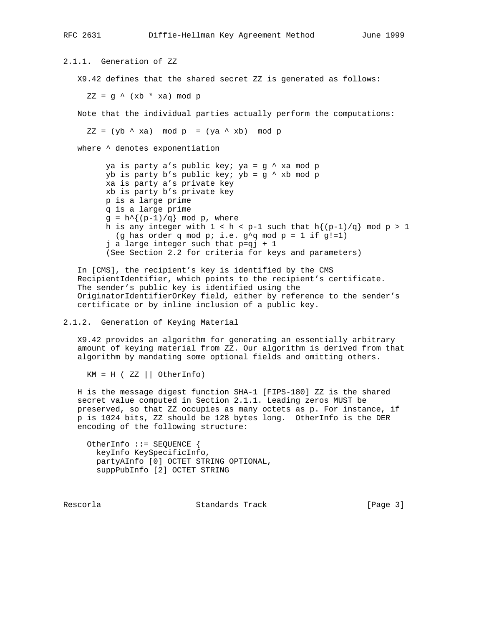2.1.1. Generation of ZZ X9.42 defines that the shared secret ZZ is generated as follows:  $ZZ = g \wedge (xb * xa) \text{ mod } p$  Note that the individual parties actually perform the computations:  $ZZ = (yb \land xa) \mod p = (ya \land xb) \mod p$  where ^ denotes exponentiation ya is party a's public key; ya = g ^ xa mod p  $yb$  is party b's public key;  $yb = g \land xb \mod p$  xa is party a's private key xb is party b's private key p is a large prime q is a large prime  $g = h^{(p-1)/q}$  mod p, where h is any integer with  $1 < h < p-1$  such that  $h\{(p-1)/q\} \mod p > 1$ (g has order q mod p; i.e.  $g^2q$  mod p = 1 if g!=1) j a large integer such that p=qj + 1

 In [CMS], the recipient's key is identified by the CMS RecipientIdentifier, which points to the recipient's certificate. The sender's public key is identified using the OriginatorIdentifierOrKey field, either by reference to the sender's certificate or by inline inclusion of a public key.

(See Section 2.2 for criteria for keys and parameters)

# 2.1.2. Generation of Keying Material

 X9.42 provides an algorithm for generating an essentially arbitrary amount of keying material from ZZ. Our algorithm is derived from that algorithm by mandating some optional fields and omitting others.

 $KM = H (ZZ || OtherInfo)$ 

 H is the message digest function SHA-1 [FIPS-180] ZZ is the shared secret value computed in Section 2.1.1. Leading zeros MUST be preserved, so that ZZ occupies as many octets as p. For instance, if p is 1024 bits, ZZ should be 128 bytes long. OtherInfo is the DER encoding of the following structure:

 OtherInfo ::= SEQUENCE { keyInfo KeySpecificInfo, partyAInfo [0] OCTET STRING OPTIONAL, suppPubInfo [2] OCTET STRING

Rescorla Standards Track [Page 3]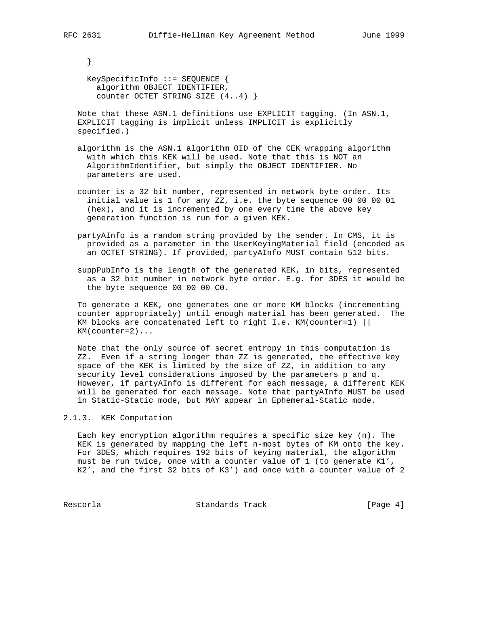}

 KeySpecificInfo ::= SEQUENCE { algorithm OBJECT IDENTIFIER, counter OCTET STRING SIZE (4..4) }

 Note that these ASN.1 definitions use EXPLICIT tagging. (In ASN.1, EXPLICIT tagging is implicit unless IMPLICIT is explicitly specified.)

- algorithm is the ASN.1 algorithm OID of the CEK wrapping algorithm with which this KEK will be used. Note that this is NOT an AlgorithmIdentifier, but simply the OBJECT IDENTIFIER. No parameters are used.
- counter is a 32 bit number, represented in network byte order. Its initial value is 1 for any ZZ, i.e. the byte sequence 00 00 00 01 (hex), and it is incremented by one every time the above key generation function is run for a given KEK.
- partyAInfo is a random string provided by the sender. In CMS, it is provided as a parameter in the UserKeyingMaterial field (encoded as an OCTET STRING). If provided, partyAInfo MUST contain 512 bits.
- suppPubInfo is the length of the generated KEK, in bits, represented as a 32 bit number in network byte order. E.g. for 3DES it would be the byte sequence 00 00 00 C0.

 To generate a KEK, one generates one or more KM blocks (incrementing counter appropriately) until enough material has been generated. The KM blocks are concatenated left to right I.e. KM(counter=1) || KM(counter=2)...

 Note that the only source of secret entropy in this computation is ZZ. Even if a string longer than ZZ is generated, the effective key space of the KEK is limited by the size of ZZ, in addition to any security level considerations imposed by the parameters p and q. However, if partyAInfo is different for each message, a different KEK will be generated for each message. Note that partyAInfo MUST be used in Static-Static mode, but MAY appear in Ephemeral-Static mode.

## 2.1.3. KEK Computation

 Each key encryption algorithm requires a specific size key (n). The KEK is generated by mapping the left n-most bytes of KM onto the key. For 3DES, which requires 192 bits of keying material, the algorithm must be run twice, once with a counter value of 1 (to generate K1', K2', and the first 32 bits of K3') and once with a counter value of 2

Rescorla Standards Track [Page 4]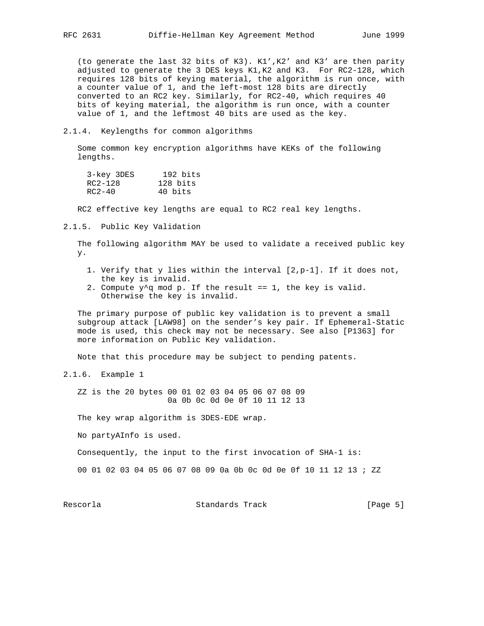(to generate the last 32 bits of K3). K1',K2' and K3' are then parity adjusted to generate the 3 DES keys K1,K2 and K3. For RC2-128, which requires 128 bits of keying material, the algorithm is run once, with a counter value of 1, and the left-most 128 bits are directly converted to an RC2 key. Similarly, for RC2-40, which requires 40 bits of keying material, the algorithm is run once, with a counter value of 1, and the leftmost 40 bits are used as the key.

## 2.1.4. Keylengths for common algorithms

 Some common key encryption algorithms have KEKs of the following lengths.

| 3-key 3DES | 192 bits |
|------------|----------|
| RC2-128    | 128 bits |
| $RC2-40$   | 40 bits  |

RC2 effective key lengths are equal to RC2 real key lengths.

2.1.5. Public Key Validation

 The following algorithm MAY be used to validate a received public key y.

- 1. Verify that y lies within the interval [2,p-1]. If it does not, the key is invalid.
- 2. Compute  $y^2q$  mod p. If the result == 1, the key is valid. Otherwise the key is invalid.

 The primary purpose of public key validation is to prevent a small subgroup attack [LAW98] on the sender's key pair. If Ephemeral-Static mode is used, this check may not be necessary. See also [P1363] for more information on Public Key validation.

Note that this procedure may be subject to pending patents.

2.1.6. Example 1

 ZZ is the 20 bytes 00 01 02 03 04 05 06 07 08 09 0a 0b 0c 0d 0e 0f 10 11 12 13

The key wrap algorithm is 3DES-EDE wrap.

No partyAInfo is used.

Consequently, the input to the first invocation of SHA-1 is:

00 01 02 03 04 05 06 07 08 09 0a 0b 0c 0d 0e 0f 10 11 12 13 ; ZZ

Rescorla Standards Track [Page 5]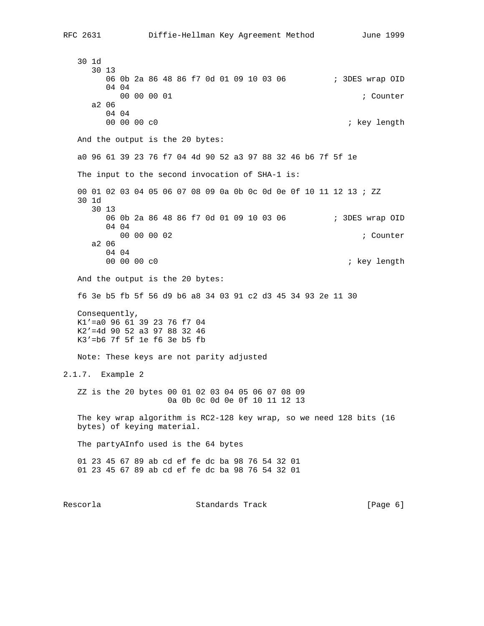30 1d 30 13 06 0b 2a 86 48 86 f7 0d 01 09 10 03 06 ; 3DES wrap OID 04 04 00 00 00 01 **; Counter** ; Counter ; Counter ; Counter ; Counter ; Counter ;  $\frac{1}{2}$ a2 06

 04 04 00 00 00 c0 **60 contract of the contract of the contract of the contract of the contract of the contract of the contract of the contract of the contract of the contract of the contract of the contract of the contract of th**  And the output is the 20 bytes: a0 96 61 39 23 76 f7 04 4d 90 52 a3 97 88 32 46 b6 7f 5f 1e The input to the second invocation of SHA-1 is: 00 01 02 03 04 05 06 07 08 09 0a 0b 0c 0d 0e 0f 10 11 12 13 ; ZZ 30 1d 30 13 06 0b 2a 86 48 86 f7 0d 01 09 10 03 06 ; 3DES wrap OID 04 04 00 00 00 02 ; Counter a2 06 04 04<br>00 00 00 c0 ; key length And the output is the 20 bytes: f6 3e b5 fb 5f 56 d9 b6 a8 34 03 91 c2 d3 45 34 93 2e 11 30 Consequently, K1'=a0 96 61 39 23 76 f7 04 K2'=4d 90 52 a3 97 88 32 46 K3'=b6 7f 5f 1e f6 3e b5 fb Note: These keys are not parity adjusted 2.1.7. Example 2 ZZ is the 20 bytes 00 01 02 03 04 05 06 07 08 09 0a 0b 0c 0d 0e 0f 10 11 12 13 The key wrap algorithm is RC2-128 key wrap, so we need 128 bits (16 bytes) of keying material.

The partyAInfo used is the 64 bytes

 01 23 45 67 89 ab cd ef fe dc ba 98 76 54 32 01 01 23 45 67 89 ab cd ef fe dc ba 98 76 54 32 01

Rescorla **Standards Track** (Page 6)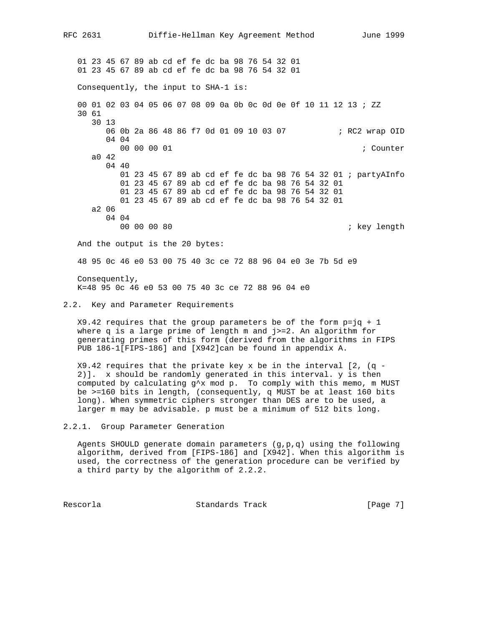01 23 45 67 89 ab cd ef fe dc ba 98 76 54 32 01 01 23 45 67 89 ab cd ef fe dc ba 98 76 54 32 01 Consequently, the input to SHA-1 is: 00 01 02 03 04 05 06 07 08 09 0a 0b 0c 0d 0e 0f 10 11 12 13 ; ZZ 30 61 30 13 06 0b 2a 86 48 86 f7 0d 01 09 10 03 07 ; RC2 wrap OID 04 04 00 00 00 01 **; Counter**  a0 42 04 40 01 23 45 67 89 ab cd ef fe dc ba 98 76 54 32 01 ; partyAInfo 01 23 45 67 89 ab cd ef fe dc ba 98 76 54 32 01 01 23 45 67 89 ab cd ef fe dc ba 98 76 54 32 01 01 23 45 67 89 ab cd ef fe dc ba 98 76 54 32 01 a2 06 04 04 00 00 00 80 ; key length And the output is the 20 bytes: 48 95 0c 46 e0 53 00 75 40 3c ce 72 88 96 04 e0 3e 7b 5d e9 Consequently, K=48 95 0c 46 e0 53 00 75 40 3c ce 72 88 96 04 e0 2.2. Key and Parameter Requirements  $X9.42$  requires that the group parameters be of the form  $p=jq + 1$ 

 where q is a large prime of length m and j>=2. An algorithm for generating primes of this form (derived from the algorithms in FIPS PUB 186-1[FIPS-186] and [X942]can be found in appendix A.

 $X9.42$  requires that the private key x be in the interval [2, (q - 2)]. x should be randomly generated in this interval. y is then computed by calculating  $g^x x$  mod p. To comply with this memo, m MUST be >=160 bits in length, (consequently, q MUST be at least 160 bits long). When symmetric ciphers stronger than DES are to be used, a larger m may be advisable. p must be a minimum of 512 bits long.

2.2.1. Group Parameter Generation

 Agents SHOULD generate domain parameters (g,p,q) using the following algorithm, derived from [FIPS-186] and [X942]. When this algorithm is used, the correctness of the generation procedure can be verified by a third party by the algorithm of 2.2.2.

Rescorla Standards Track [Page 7]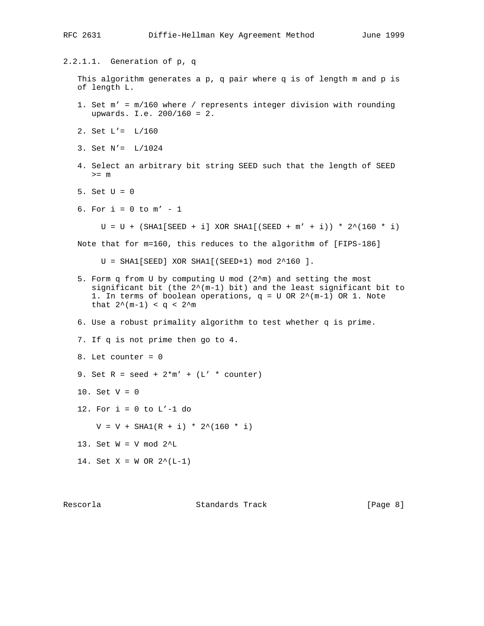### RFC 2631 Diffie-Hellman Key Agreement Method June 1999

2.2.1.1. Generation of p, q This algorithm generates a p, q pair where q is of length m and p is of length L. 1. Set m' = m/160 where / represents integer division with rounding upwards. I.e. 200/160 = 2. 2. Set L'= L/160 3. Set N'= L/1024 4. Select an arbitrary bit string SEED such that the length of SEED >= m 5. Set  $U = 0$ 6. For  $i = 0$  to  $m' - 1$  $U = U + (SHAI[SEED + i] XOR SHA[ (SEED + m' + i)) * 2^(160 * i)$  Note that for m=160, this reduces to the algorithm of [FIPS-186]  $U = SHAI[SEED]$  XOR SHA1 $[(SEED+1)$  mod  $2^160]$ . 5. Form q from U by computing U mod (2^m) and setting the most significant bit (the  $2^{*(m-1)}$  bit) and the least significant bit to 1. In terms of boolean operations,  $q = U$  OR  $2^{\wedge}(m-1)$  OR 1. Note that  $2^{(m-1)} < q < 2^{m}$  6. Use a robust primality algorithm to test whether q is prime. 7. If q is not prime then go to 4. 8. Let counter = 0 9. Set  $R = seed + 2*m' + (L' * counter)$ 10. Set  $V = 0$ 12. For  $i = 0$  to  $L'-1$  do  $V = V + SHAI(R + i) * 2^(160 * i)$  13. Set W = V mod 2^L 14. Set  $X = W$  OR  $2^*(L-1)$ 

Rescorla **Standards Track** [Page 8]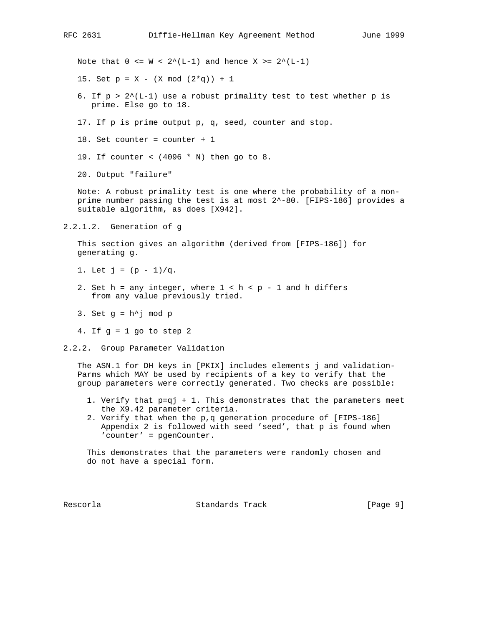Note that  $0 \leq W \leq 2^{(L-1)}$  and hence  $X \geq 2^{(L-1)}$ 

15. Set  $p = X - (X \mod (2 \cdot q)) + 1$ 

- 6. If  $p > 2^{(L-1)}$  use a robust primality test to test whether p is prime. Else go to 18.
- 17. If p is prime output p, q, seed, counter and stop.

18. Set counter = counter + 1

19. If counter < (4096 \* N) then go to 8.

20. Output "failure"

 Note: A robust primality test is one where the probability of a non prime number passing the test is at most 2^-80. [FIPS-186] provides a suitable algorithm, as does [X942].

2.2.1.2. Generation of g

 This section gives an algorithm (derived from [FIPS-186]) for generating g.

- 1. Let  $j = (p 1)/q$ .
- 2. Set h = any integer, where  $1 < h < p 1$  and h differs from any value previously tried.
- 3. Set  $g = h^{\wedge} j \mod p$
- 4. If  $g = 1$  go to step 2

2.2.2. Group Parameter Validation

 The ASN.1 for DH keys in [PKIX] includes elements j and validation- Parms which MAY be used by recipients of a key to verify that the group parameters were correctly generated. Two checks are possible:

- 1. Verify that p=qj + 1. This demonstrates that the parameters meet the X9.42 parameter criteria.
- 2. Verify that when the p,q generation procedure of [FIPS-186] Appendix 2 is followed with seed 'seed', that p is found when 'counter' = pgenCounter.

 This demonstrates that the parameters were randomly chosen and do not have a special form.

Rescorla Standards Track [Page 9]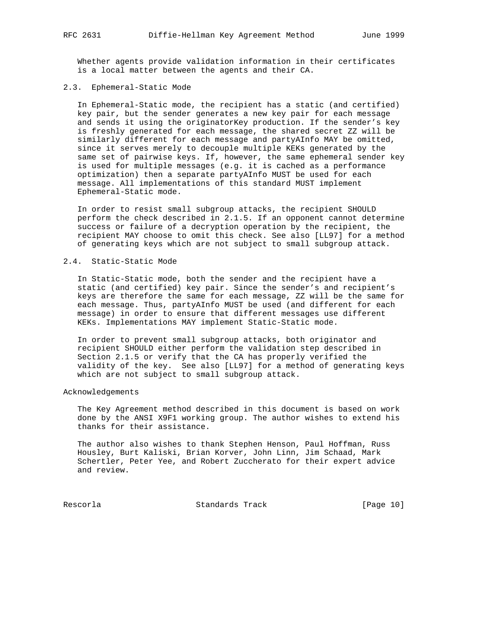Whether agents provide validation information in their certificates is a local matter between the agents and their CA.

### 2.3. Ephemeral-Static Mode

 In Ephemeral-Static mode, the recipient has a static (and certified) key pair, but the sender generates a new key pair for each message and sends it using the originatorKey production. If the sender's key is freshly generated for each message, the shared secret ZZ will be similarly different for each message and partyAInfo MAY be omitted, since it serves merely to decouple multiple KEKs generated by the same set of pairwise keys. If, however, the same ephemeral sender key is used for multiple messages (e.g. it is cached as a performance optimization) then a separate partyAInfo MUST be used for each message. All implementations of this standard MUST implement Ephemeral-Static mode.

 In order to resist small subgroup attacks, the recipient SHOULD perform the check described in 2.1.5. If an opponent cannot determine success or failure of a decryption operation by the recipient, the recipient MAY choose to omit this check. See also [LL97] for a method of generating keys which are not subject to small subgroup attack.

### 2.4. Static-Static Mode

 In Static-Static mode, both the sender and the recipient have a static (and certified) key pair. Since the sender's and recipient's keys are therefore the same for each message, ZZ will be the same for each message. Thus, partyAInfo MUST be used (and different for each message) in order to ensure that different messages use different KEKs. Implementations MAY implement Static-Static mode.

 In order to prevent small subgroup attacks, both originator and recipient SHOULD either perform the validation step described in Section 2.1.5 or verify that the CA has properly verified the validity of the key. See also [LL97] for a method of generating keys which are not subject to small subgroup attack.

#### Acknowledgements

 The Key Agreement method described in this document is based on work done by the ANSI X9F1 working group. The author wishes to extend his thanks for their assistance.

 The author also wishes to thank Stephen Henson, Paul Hoffman, Russ Housley, Burt Kaliski, Brian Korver, John Linn, Jim Schaad, Mark Schertler, Peter Yee, and Robert Zuccherato for their expert advice and review.

Rescorla Standards Track [Page 10]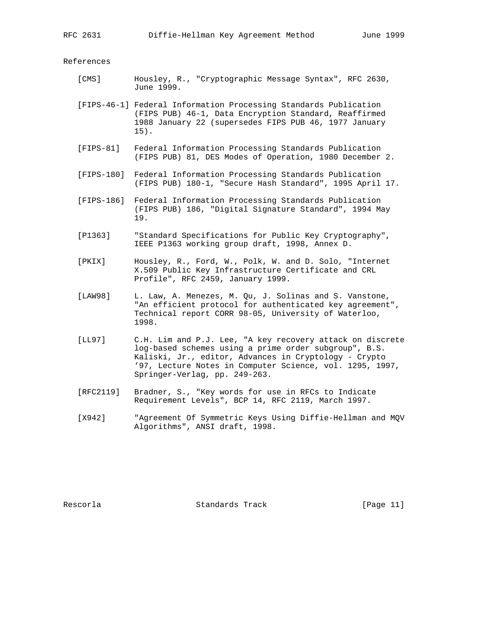References

- [CMS] Housley, R., "Cryptographic Message Syntax", RFC 2630, June 1999.
- [FIPS-46-1] Federal Information Processing Standards Publication (FIPS PUB) 46-1, Data Encryption Standard, Reaffirmed 1988 January 22 (supersedes FIPS PUB 46, 1977 January 15).
- [FIPS-81] Federal Information Processing Standards Publication (FIPS PUB) 81, DES Modes of Operation, 1980 December 2.
- [FIPS-180] Federal Information Processing Standards Publication (FIPS PUB) 180-1, "Secure Hash Standard", 1995 April 17.
- [FIPS-186] Federal Information Processing Standards Publication (FIPS PUB) 186, "Digital Signature Standard", 1994 May 19.
- [P1363] "Standard Specifications for Public Key Cryptography", IEEE P1363 working group draft, 1998, Annex D.
- [PKIX] Housley, R., Ford, W., Polk, W. and D. Solo, "Internet X.509 Public Key Infrastructure Certificate and CRL Profile", RFC 2459, January 1999.
- [LAW98] L. Law, A. Menezes, M. Qu, J. Solinas and S. Vanstone, "An efficient protocol for authenticated key agreement", Technical report CORR 98-05, University of Waterloo, 1998.
- [LL97] C.H. Lim and P.J. Lee, "A key recovery attack on discrete log-based schemes using a prime order subgroup", B.S. Kaliski, Jr., editor, Advances in Cryptology - Crypto '97, Lecture Notes in Computer Science, vol. 1295, 1997, Springer-Verlag, pp. 249-263.
- [RFC2119] Bradner, S., "Key words for use in RFCs to Indicate Requirement Levels", BCP 14, RFC 2119, March 1997.
- [X942] "Agreement Of Symmetric Keys Using Diffie-Hellman and MQV Algorithms", ANSI draft, 1998.

Rescorla Standards Track [Page 11]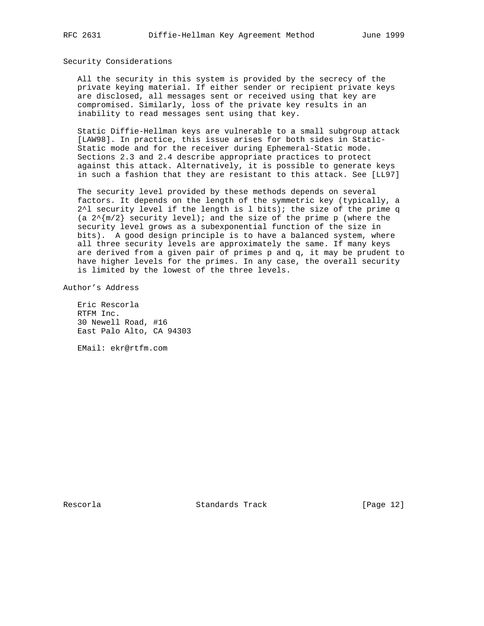#### Security Considerations

 All the security in this system is provided by the secrecy of the private keying material. If either sender or recipient private keys are disclosed, all messages sent or received using that key are compromised. Similarly, loss of the private key results in an inability to read messages sent using that key.

 Static Diffie-Hellman keys are vulnerable to a small subgroup attack [LAW98]. In practice, this issue arises for both sides in Static- Static mode and for the receiver during Ephemeral-Static mode. Sections 2.3 and 2.4 describe appropriate practices to protect against this attack. Alternatively, it is possible to generate keys in such a fashion that they are resistant to this attack. See [LL97]

 The security level provided by these methods depends on several factors. It depends on the length of the symmetric key (typically, a  $2^1$  security level if the length is l bits); the size of the prime q (a  $2^{\wedge}$ [m/2] security level); and the size of the prime p (where the security level grows as a subexponential function of the size in bits). A good design principle is to have a balanced system, where all three security levels are approximately the same. If many keys are derived from a given pair of primes p and q, it may be prudent to have higher levels for the primes. In any case, the overall security is limited by the lowest of the three levels.

Author's Address

 Eric Rescorla RTFM Inc. 30 Newell Road, #16 East Palo Alto, CA 94303

EMail: ekr@rtfm.com

Rescorla Standards Track [Page 12]